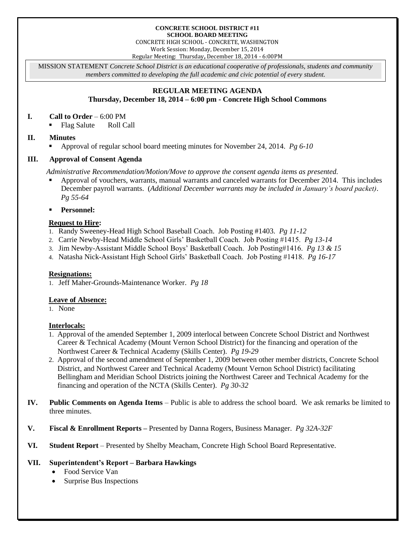#### **CONCRETE SCHOOL DISTRICT #11 SCHOOL BOARD MEETING**

CONCRETE HIGH SCHOOL - CONCRETE, WASHINGTON Work Session: Monday, December 15, 2014

Regular Meeting: Thursday**,** December 18, 2014 - 6:00PM

MISSION STATEMENT *Concrete School District is an educational cooperative of professionals, students and community members committed to developing the full academic and civic potential of every student.*

# **REGULAR MEETING AGENDA**

**Thursday, December 18, 2014 – 6:00 pm - Concrete High School Commons**

### **I. Call to Order** – 6:00 PM

■ Flag Salute Roll Call

# **II. Minutes**

Approval of regular school board meeting minutes for November 24, 2014. *Pg 6-10*

### **III. Approval of Consent Agenda**

*Administrative Recommendation/Motion/Move to approve the consent agenda items as presented.*

- Approval of vouchers, warrants, manual warrants and canceled warrants for December 2014. This includes December payroll warrants. (*Additional December warrants may be included in January's board packet)*. *Pg 55-64*
- **Personnel:**

### **Request to Hire:**

- 1. Randy Sweeney-Head High School Baseball Coach. Job Posting #1403. *Pg 11-12*
- 2. Carrie Newby-Head Middle School Girls' Basketball Coach. Job Posting #1415. *Pg 13-14*
- 3. Jim Newby-Assistant Middle School Boys' Basketball Coach. Job Posting#1416. *Pg 13 & 15*
- 4. Natasha Nick-Assistant High School Girls' Basketball Coach. Job Posting #1418. *Pg 16-17*

# **Resignations:**

1. Jeff Maher-Grounds-Maintenance Worker. *Pg 18*

# **Leave of Absence:**

1. None

# **Interlocals:**

- 1. Approval of the amended September 1, 2009 interlocal between Concrete School District and Northwest Career & Technical Academy (Mount Vernon School District) for the financing and operation of the Northwest Career & Technical Academy (Skills Center). *Pg 19-29*
- 2. Approval of the second amendment of September 1, 2009 between other member districts, Concrete School District, and Northwest Career and Technical Academy (Mount Vernon School District) facilitating Bellingham and Meridian School Districts joining the Northwest Career and Technical Academy for the financing and operation of the NCTA (Skills Center). *Pg 30-32*
- **IV. Public Comments on Agenda Items** Public is able to address the school board. We ask remarks be limited to three minutes.
- **V. Fiscal & Enrollment Reports –** Presented by Danna Rogers, Business Manager. *Pg 32A-32F*
- **VI. Student Report** Presented by Shelby Meacham, Concrete High School Board Representative.

# **VII. Superintendent's Report – Barbara Hawkings**

- Food Service Van
- Surprise Bus Inspections